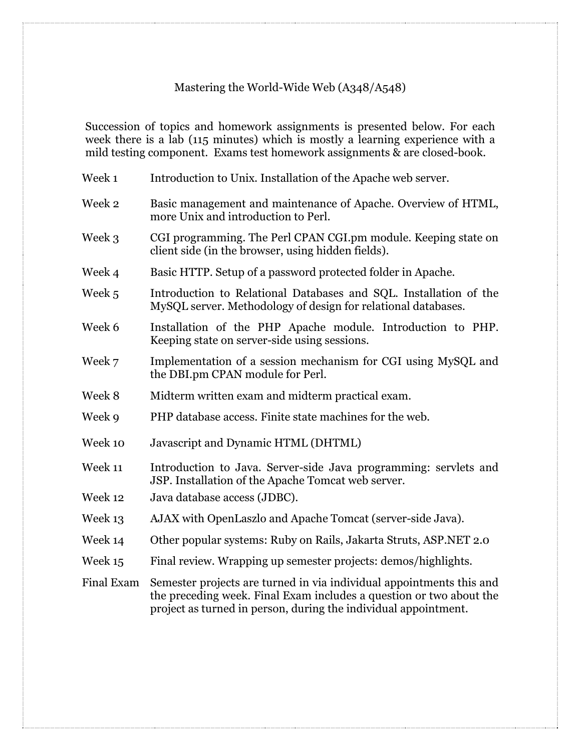## Mastering the World-Wide Web (A348/A548)

Succession of topics and homework assignments is presented below. For each week there is a lab (115 minutes) which is mostly a learning experience with a mild testing component. Exams test homework assignments & are closed-book.

| Week 1            | Introduction to Unix. Installation of the Apache web server.                                                                                                                                                   |
|-------------------|----------------------------------------------------------------------------------------------------------------------------------------------------------------------------------------------------------------|
| Week 2            | Basic management and maintenance of Apache. Overview of HTML,<br>more Unix and introduction to Perl.                                                                                                           |
| Week 3            | CGI programming. The Perl CPAN CGI.pm module. Keeping state on<br>client side (in the browser, using hidden fields).                                                                                           |
| Week 4            | Basic HTTP. Setup of a password protected folder in Apache.                                                                                                                                                    |
| Week 5            | Introduction to Relational Databases and SQL. Installation of the<br>MySQL server. Methodology of design for relational databases.                                                                             |
| Week 6            | Installation of the PHP Apache module. Introduction to PHP.<br>Keeping state on server-side using sessions.                                                                                                    |
| Week 7            | Implementation of a session mechanism for CGI using MySQL and<br>the DBI.pm CPAN module for Perl.                                                                                                              |
| Week 8            | Midterm written exam and midterm practical exam.                                                                                                                                                               |
| Week 9            | PHP database access. Finite state machines for the web.                                                                                                                                                        |
| Week 10           | Javascript and Dynamic HTML (DHTML)                                                                                                                                                                            |
| Week 11           | Introduction to Java. Server-side Java programming: servlets and<br>JSP. Installation of the Apache Tomcat web server.                                                                                         |
| Week 12           | Java database access (JDBC).                                                                                                                                                                                   |
| Week 13           | AJAX with OpenLaszlo and Apache Tomcat (server-side Java).                                                                                                                                                     |
| Week 14           | Other popular systems: Ruby on Rails, Jakarta Struts, ASP.NET 2.0                                                                                                                                              |
| Week 15           | Final review. Wrapping up semester projects: demos/highlights.                                                                                                                                                 |
| <b>Final Exam</b> | Semester projects are turned in via individual appointments this and<br>the preceding week. Final Exam includes a question or two about the<br>project as turned in person, during the individual appointment. |